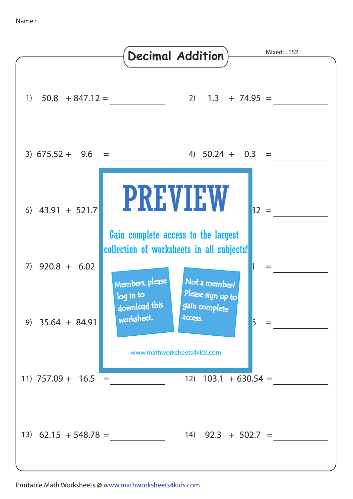